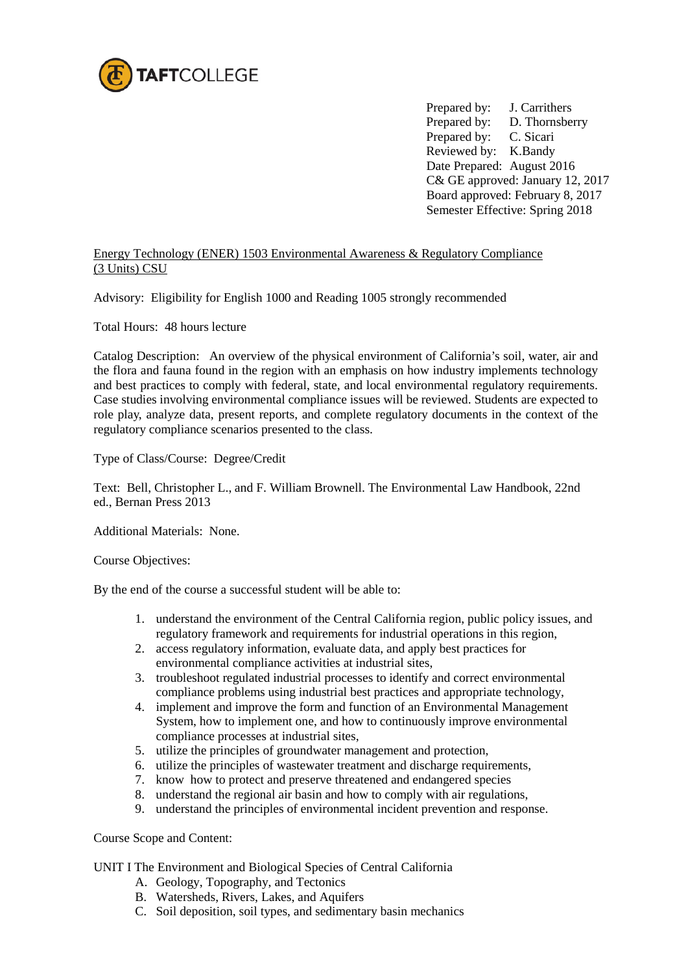

Prepared by: J. Carrithers Prepared by: D. Thornsberry Prepared by: C. Sicari Reviewed by: K.Bandy Date Prepared: August 2016 C& GE approved: January 12, 2017 Board approved: February 8, 2017 Semester Effective: Spring 2018

# Energy Technology (ENER) 1503 Environmental Awareness & Regulatory Compliance (3 Units) CSU

Advisory: Eligibility for English 1000 and Reading 1005 strongly recommended

Total Hours: 48 hours lecture

Catalog Description: An overview of the physical environment of California's soil, water, air and the flora and fauna found in the region with an emphasis on how industry implements technology and best practices to comply with federal, state, and local environmental regulatory requirements. Case studies involving environmental compliance issues will be reviewed. Students are expected to role play, analyze data, present reports, and complete regulatory documents in the context of the regulatory compliance scenarios presented to the class.

Type of Class/Course: Degree/Credit

Text: Bell, Christopher L., and F. William Brownell. The Environmental Law Handbook, 22nd ed., Bernan Press 2013

Additional Materials: None.

Course Objectives:

By the end of the course a successful student will be able to:

- 1. understand the environment of the Central California region, public policy issues, and regulatory framework and requirements for industrial operations in this region,
- 2. access regulatory information, evaluate data, and apply best practices for environmental compliance activities at industrial sites,
- 3. troubleshoot regulated industrial processes to identify and correct environmental compliance problems using industrial best practices and appropriate technology,
- 4. implement and improve the form and function of an Environmental Management System, how to implement one, and how to continuously improve environmental compliance processes at industrial sites,
- 5. utilize the principles of groundwater management and protection,
- 6. utilize the principles of wastewater treatment and discharge requirements,
- 7. know how to protect and preserve threatened and endangered species
- 8. understand the regional air basin and how to comply with air regulations,
- 9. understand the principles of environmental incident prevention and response.

Course Scope and Content:

UNIT I The Environment and Biological Species of Central California

- A. Geology, Topography, and Tectonics
- B. Watersheds, Rivers, Lakes, and Aquifers
- C. Soil deposition, soil types, and sedimentary basin mechanics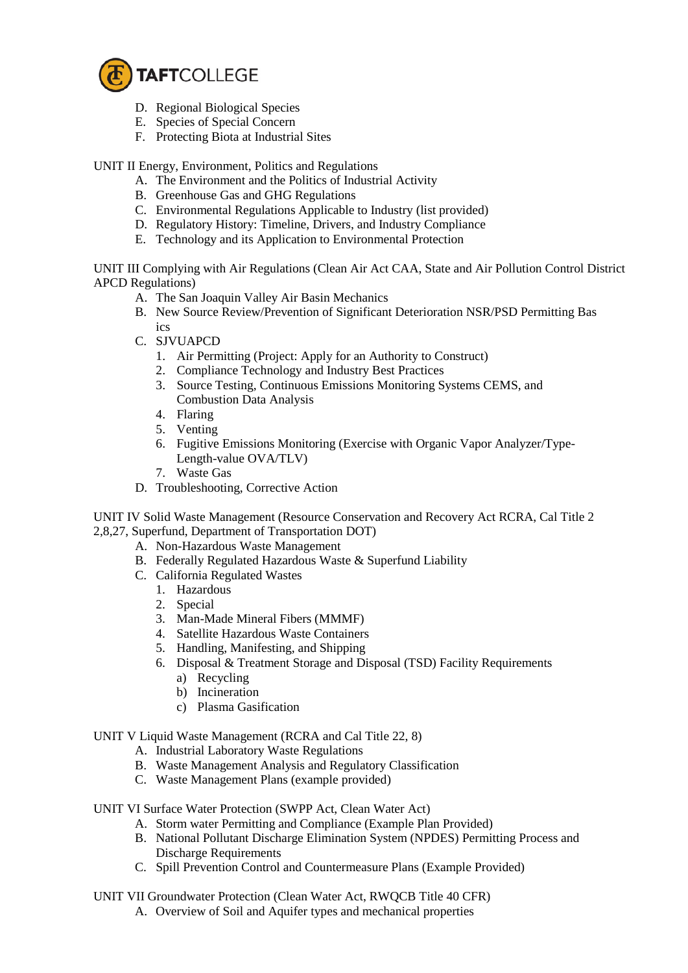

- D. Regional Biological Species
- E. Species of Special Concern
- F. Protecting Biota at Industrial Sites

UNIT II Energy, Environment, Politics and Regulations

- A. The Environment and the Politics of Industrial Activity
- B. Greenhouse Gas and GHG Regulations
- C. Environmental Regulations Applicable to Industry (list provided)
- D. Regulatory History: Timeline, Drivers, and Industry Compliance
- E. Technology and its Application to Environmental Protection

UNIT III Complying with Air Regulations (Clean Air Act CAA, State and Air Pollution Control District APCD Regulations)

- A. The San Joaquin Valley Air Basin Mechanics
- B. New Source Review/Prevention of Significant Deterioration NSR/PSD Permitting Bas ics
- C. SJVUAPCD
	- 1. Air Permitting (Project: Apply for an Authority to Construct)
	- 2. Compliance Technology and Industry Best Practices
	- 3. Source Testing, Continuous Emissions Monitoring Systems CEMS, and Combustion Data Analysis
	- 4. Flaring
	- 5. Venting
	- 6. Fugitive Emissions Monitoring (Exercise with Organic Vapor Analyzer/Type-Length-value OVA/TLV)
	- 7. Waste Gas
- D. Troubleshooting, Corrective Action

UNIT IV Solid Waste Management (Resource Conservation and Recovery Act RCRA, Cal Title 2 2,8,27, Superfund, Department of Transportation DOT)

- A. Non-Hazardous Waste Management
- B. Federally Regulated Hazardous Waste & Superfund Liability
- C. California Regulated Wastes
	- 1. Hazardous
	- 2. Special
	- 3. Man-Made Mineral Fibers (MMMF)
	- 4. Satellite Hazardous Waste Containers
	- 5. Handling, Manifesting, and Shipping
	- 6. Disposal & Treatment Storage and Disposal (TSD) Facility Requirements
		- a) Recycling
		- b) Incineration
		- c) Plasma Gasification

### UNIT V Liquid Waste Management (RCRA and Cal Title 22, 8)

- A. Industrial Laboratory Waste Regulations
- B. Waste Management Analysis and Regulatory Classification
- C. Waste Management Plans (example provided)
- UNIT VI Surface Water Protection (SWPP Act, Clean Water Act)
	- A. Storm water Permitting and Compliance (Example Plan Provided)
	- B. National Pollutant Discharge Elimination System (NPDES) Permitting Process and Discharge Requirements
	- C. Spill Prevention Control and Countermeasure Plans (Example Provided)
- UNIT VII Groundwater Protection (Clean Water Act, RWQCB Title 40 CFR)
	- A. Overview of Soil and Aquifer types and mechanical properties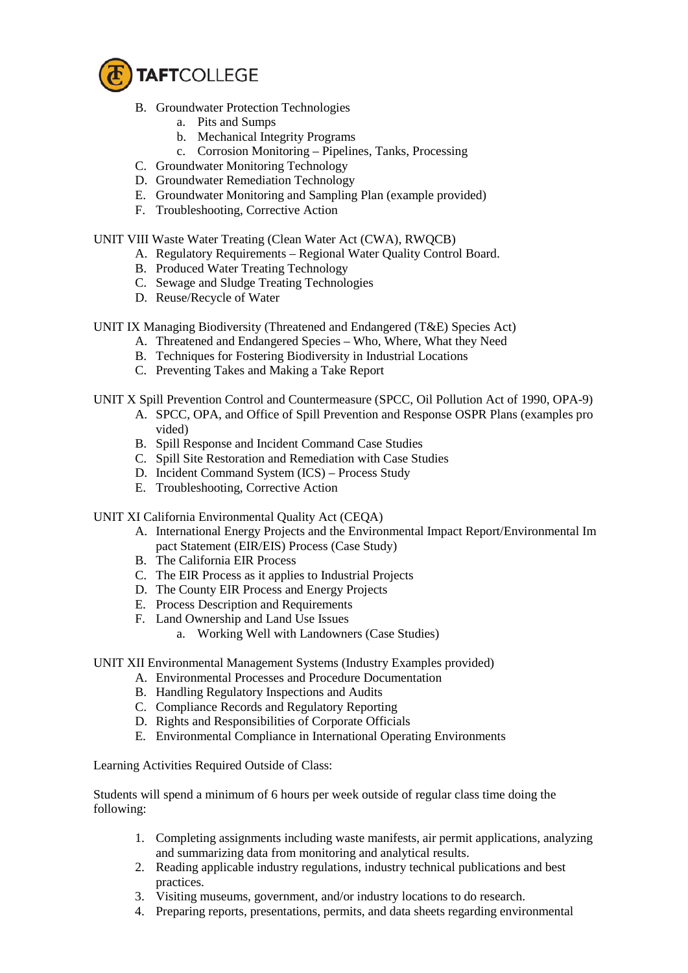

- B. Groundwater Protection Technologies
	- a. Pits and Sumps
	- b. Mechanical Integrity Programs
	- c. Corrosion Monitoring Pipelines, Tanks, Processing
- C. Groundwater Monitoring Technology
- D. Groundwater Remediation Technology
- E. Groundwater Monitoring and Sampling Plan (example provided)
- F. Troubleshooting, Corrective Action

### UNIT VIII Waste Water Treating (Clean Water Act (CWA), RWQCB)

- A. Regulatory Requirements Regional Water Quality Control Board.
- B. Produced Water Treating Technology
- C. Sewage and Sludge Treating Technologies
- D. Reuse/Recycle of Water

UNIT IX Managing Biodiversity (Threatened and Endangered (T&E) Species Act)

- A. Threatened and Endangered Species Who, Where, What they Need
- B. Techniques for Fostering Biodiversity in Industrial Locations
- C. Preventing Takes and Making a Take Report

# UNIT X Spill Prevention Control and Countermeasure (SPCC, Oil Pollution Act of 1990, OPA-9)

- A. SPCC, OPA, and Office of Spill Prevention and Response OSPR Plans (examples pro vided)
- B. Spill Response and Incident Command Case Studies
- C. Spill Site Restoration and Remediation with Case Studies
- D. Incident Command System (ICS) Process Study
- E. Troubleshooting, Corrective Action
- UNIT XI California Environmental Quality Act (CEQA)
	- A. International Energy Projects and the Environmental Impact Report/Environmental Im pact Statement (EIR/EIS) Process (Case Study)
	- B. The California EIR Process
	- C. The EIR Process as it applies to Industrial Projects
	- D. The County EIR Process and Energy Projects
	- E. Process Description and Requirements
	- F. Land Ownership and Land Use Issues
		- a. Working Well with Landowners (Case Studies)

# UNIT XII Environmental Management Systems (Industry Examples provided)

- A. Environmental Processes and Procedure Documentation
- B. Handling Regulatory Inspections and Audits
- C. Compliance Records and Regulatory Reporting
- D. Rights and Responsibilities of Corporate Officials
- E. Environmental Compliance in International Operating Environments

Learning Activities Required Outside of Class:

Students will spend a minimum of 6 hours per week outside of regular class time doing the following:

- 1. Completing assignments including waste manifests, air permit applications, analyzing and summarizing data from monitoring and analytical results.
- 2. Reading applicable industry regulations, industry technical publications and best practices.
- 3. Visiting museums, government, and/or industry locations to do research.
- 4. Preparing reports, presentations, permits, and data sheets regarding environmental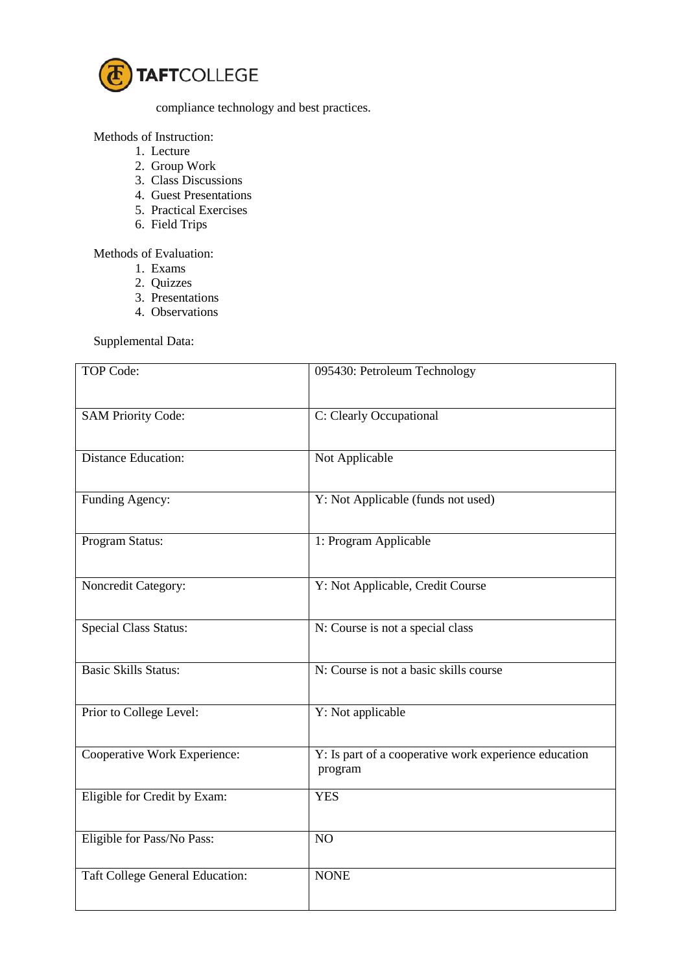

compliance technology and best practices.

Methods of Instruction:

- 1. Lecture
- 2. Group Work
- 3. Class Discussions
- 4. Guest Presentations
- 5. Practical Exercises
- 6. Field Trips

Methods of Evaluation:

- 1. Exams
- 2. Quizzes
- 3. Presentations
- 4. Observations

Supplemental Data:

| TOP Code:                              | 095430: Petroleum Technology                                     |
|----------------------------------------|------------------------------------------------------------------|
| <b>SAM Priority Code:</b>              | C: Clearly Occupational                                          |
| <b>Distance Education:</b>             | Not Applicable                                                   |
| Funding Agency:                        | Y: Not Applicable (funds not used)                               |
| Program Status:                        | 1: Program Applicable                                            |
| Noncredit Category:                    | Y: Not Applicable, Credit Course                                 |
| <b>Special Class Status:</b>           | N: Course is not a special class                                 |
| <b>Basic Skills Status:</b>            | N: Course is not a basic skills course                           |
| Prior to College Level:                | Y: Not applicable                                                |
| Cooperative Work Experience:           | Y: Is part of a cooperative work experience education<br>program |
| Eligible for Credit by Exam:           | <b>YES</b>                                                       |
| Eligible for Pass/No Pass:             | NO                                                               |
| <b>Taft College General Education:</b> | <b>NONE</b>                                                      |